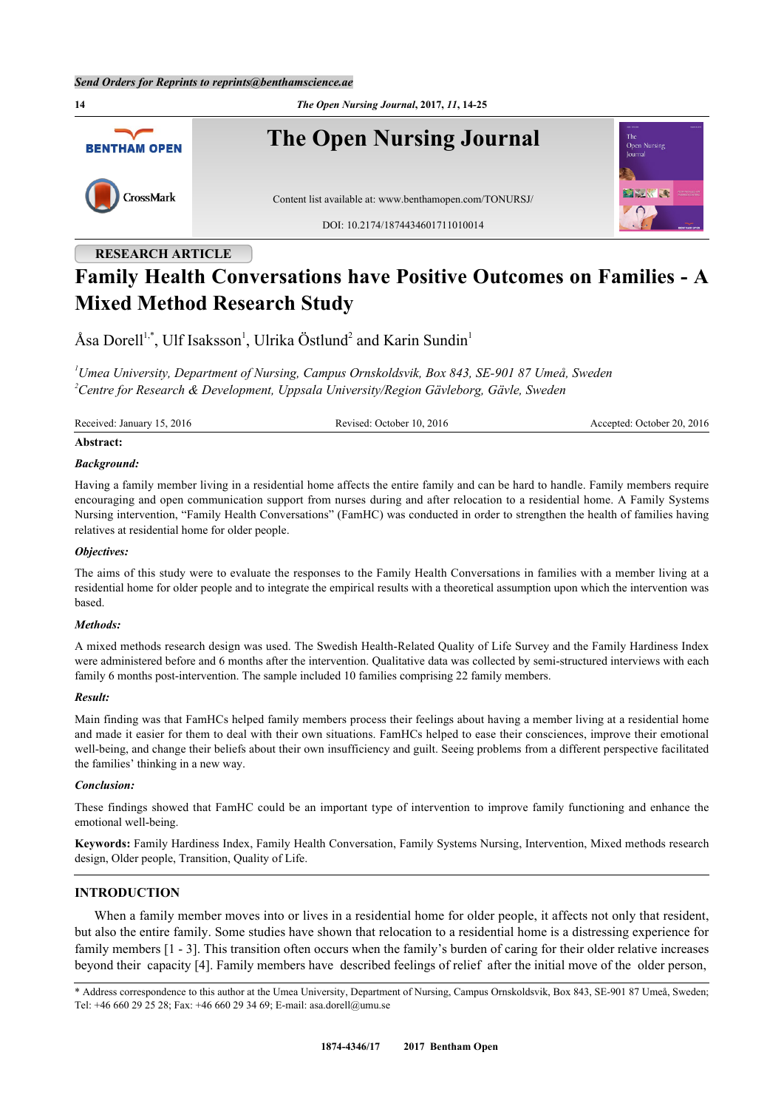**14** *The Open Nursing Journal***, 2017,** *11***, 14-25 The Open Nursing Journal BENTHAM OPEN** CrossMark Content list available at: [www.benthamopen.com/TONURSJ/](http://www.benthamopen.com/TONURSJ/) DOI: [10.2174/1874434601711010014](http://dx.doi.org/10.2174/1874434601711010014)

# **RESEARCH ARTICLE Family Health Conversations have Positive Outcomes on Families - A Mixed Method Research Study**

Åsa Dorell<sup>[1](#page-0-0),[\\*](#page-0-1)</sup>, Ulf Isaksson<sup>1</sup>, Ulrika Östlund<sup>[2](#page-0-2)</sup> and Karin Sundin<sup>1</sup>

<span id="page-0-2"></span><span id="page-0-0"></span>*<sup>1</sup>Umea University, Department of Nursing, Campus Ornskoldsvik, Box 843, SE-901 87 Umeå, Sweden <sup>2</sup>Centre for Research & Development, Uppsala University/Region Gävleborg, Gävle, Sweden*

Received: January 15, 2016 Revised: October 10, 2016 Accepted: October 20, 2016

#### **Abstract:**

#### *Background:*

Having a family member living in a residential home affects the entire family and can be hard to handle. Family members require encouraging and open communication support from nurses during and after relocation to a residential home. A Family Systems Nursing intervention, "Family Health Conversations" (FamHC) was conducted in order to strengthen the health of families having relatives at residential home for older people.

#### *Objectives:*

The aims of this study were to evaluate the responses to the Family Health Conversations in families with a member living at a residential home for older people and to integrate the empirical results with a theoretical assumption upon which the intervention was based.

#### *Methods:*

A mixed methods research design was used. The Swedish Health-Related Quality of Life Survey and the Family Hardiness Index were administered before and 6 months after the intervention. Qualitative data was collected by semi-structured interviews with each family 6 months post-intervention. The sample included 10 families comprising 22 family members.

# *Result:*

Main finding was that FamHCs helped family members process their feelings about having a member living at a residential home and made it easier for them to deal with their own situations. FamHCs helped to ease their consciences, improve their emotional well-being, and change their beliefs about their own insufficiency and guilt. Seeing problems from a different perspective facilitated the families' thinking in a new way.

### *Conclusion:*

These findings showed that FamHC could be an important type of intervention to improve family functioning and enhance the emotional well-being.

**Keywords:** Family Hardiness Index, Family Health Conversation, Family Systems Nursing, Intervention, Mixed methods research design, Older people, Transition, Quality of Life.

# **INTRODUCTION**

When a family member moves into or lives in a residential home for older people, it affects not only that resident, but also the entire family. Some studies have shown that relocation to a residential home is a distressing experience for family members [[1](#page-8-0) - [3](#page-8-1)]. This transition often occurs when the family's burden of caring for their older relative increases beyond their capacity [\[4](#page-8-2)]. Family members have described feelings of relief after the initial move of the older person,

<span id="page-0-1"></span><sup>\*</sup> Address correspondence to this author at the Umea University, Department of Nursing, Campus Ornskoldsvik, Box 843, SE-901 87 Umeå, Sweden; Tel: +46 660 29 25 28; Fax: +46 660 29 34 69; E-mail: [asa.dorell@umu.se](mailto:asa.dorell@umu.se)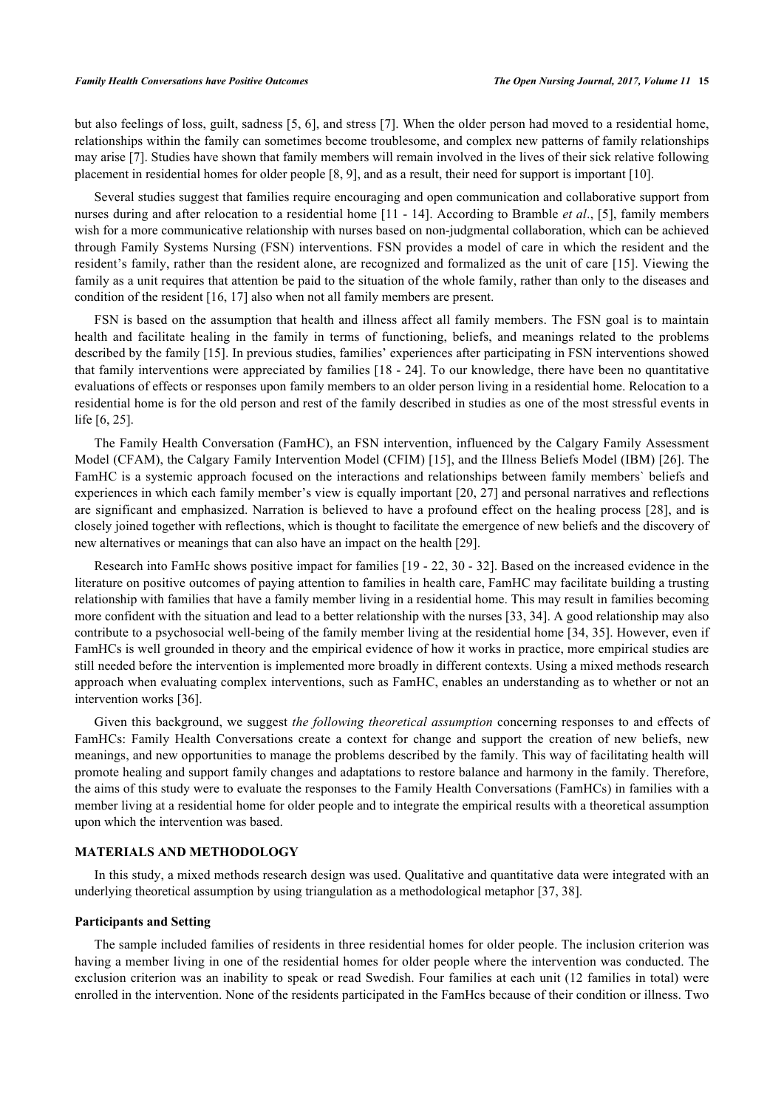but also feelings of loss, guilt, sadness [\[5](#page-8-3), [6\]](#page-8-4), and stress [[7](#page-8-5)]. When the older person had moved to a residential home, relationships within the family can sometimes become troublesome, and complex new patterns of family relationships may arise [\[7](#page-8-5)]. Studies have shown that family members will remain involved in the lives of their sick relative following placement in residential homes for older people [\[8](#page-8-6), [9](#page-9-0)], and as a result, their need for support is important [\[10](#page-9-1)].

Several studies suggest that families require encouraging and open communication and collaborative support from nurses during and after relocation to a residential home [[11](#page-9-2) - [14\]](#page-9-3). According to Bramble *et al*., [\[5](#page-8-3)], family members wish for a more communicative relationship with nurses based on non-judgmental collaboration, which can be achieved through Family Systems Nursing (FSN) interventions. FSN provides a model of care in which the resident and the resident's family, rather than the resident alone, are recognized and formalized as the unit of care [[15\]](#page-9-4). Viewing the family as a unit requires that attention be paid to the situation of the whole family, rather than only to the diseases and condition of the resident [\[16](#page-9-5), [17](#page-9-6)] also when not all family members are present.

FSN is based on the assumption that health and illness affect all family members. The FSN goal is to maintain health and facilitate healing in the family in terms of functioning, beliefs, and meanings related to the problems described by the family [[15\]](#page-9-4). In previous studies, families' experiences after participating in FSN interventions showed that family interventions were appreciated by families [[18](#page-9-7) - [24\]](#page-9-8). To our knowledge, there have been no quantitative evaluations of effects or responses upon family members to an older person living in a residential home. Relocation to a residential home is for the old person and rest of the family described in studies as one of the most stressful events in life [[6,](#page-8-4) [25\]](#page-9-9).

The Family Health Conversation (FamHC), an FSN intervention, influenced by the Calgary Family Assessment Model (CFAM), the Calgary Family Intervention Model (CFIM) [[15](#page-9-4)], and the Illness Beliefs Model (IBM) [[26](#page-9-10)]. The FamHC is a systemic approach focused on the interactions and relationships between family members` beliefs and experiences in which each family member's view is equally important [\[20,](#page-9-11) [27\]](#page-9-12) and personal narratives and reflections are significant and emphasized. Narration is believed to have a profound effect on the healing process [[28](#page-9-13)], and is closely joined together with reflections, which is thought to facilitate the emergence of new beliefs and the discovery of new alternatives or meanings that can also have an impact on the health [\[29](#page-9-14)].

Research into FamHc shows positive impact for families [[19](#page-9-15) - [22,](#page-9-16) [30](#page-9-17) - [32](#page-10-0)]. Based on the increased evidence in the literature on positive outcomes of paying attention to families in health care, FamHC may facilitate building a trusting relationship with families that have a family member living in a residential home. This may result in families becoming more confident with the situation and lead to a better relationship with the nurses [\[33](#page-10-1), [34](#page-10-2)]. A good relationship may also contribute to a psychosocial well-being of the family member living at the residential home [\[34,](#page-10-2) [35\]](#page-10-3). However, even if FamHCs is well grounded in theory and the empirical evidence of how it works in practice, more empirical studies are still needed before the intervention is implemented more broadly in different contexts. Using a mixed methods research approach when evaluating complex interventions, such as FamHC, enables an understanding as to whether or not an intervention works [[36\]](#page-10-4).

Given this background, we suggest *the following theoretical assumption* concerning responses to and effects of FamHCs: Family Health Conversations create a context for change and support the creation of new beliefs, new meanings, and new opportunities to manage the problems described by the family. This way of facilitating health will promote healing and support family changes and adaptations to restore balance and harmony in the family. Therefore, the aims of this study were to evaluate the responses to the Family Health Conversations (FamHCs) in families with a member living at a residential home for older people and to integrate the empirical results with a theoretical assumption upon which the intervention was based.

### **MATERIALS AND METHODOLOGY**

In this study, a mixed methods research design was used. Qualitative and quantitative data were integrated with an underlying theoretical assumption by using triangulation as a methodological metaphor [[37,](#page-10-5) [38\]](#page-10-6).

### **Participants and Setting**

The sample included families of residents in three residential homes for older people. The inclusion criterion was having a member living in one of the residential homes for older people where the intervention was conducted. The exclusion criterion was an inability to speak or read Swedish. Four families at each unit (12 families in total) were enrolled in the intervention. None of the residents participated in the FamHcs because of their condition or illness. Two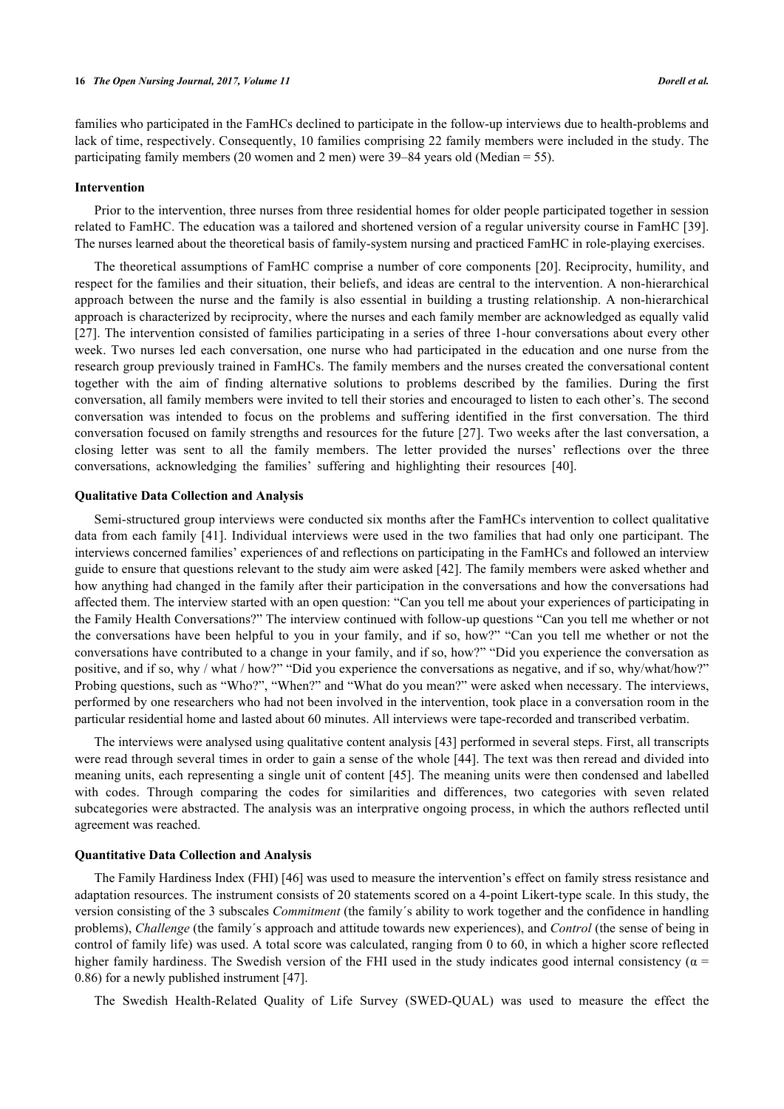families who participated in the FamHCs declined to participate in the follow-up interviews due to health-problems and lack of time, respectively. Consequently, 10 families comprising 22 family members were included in the study. The participating family members (20 women and 2 men) were 39–84 years old (Median = 55).

#### **Intervention**

Prior to the intervention, three nurses from three residential homes for older people participated together in session related to FamHC. The education was a tailored and shortened version of a regular university course in FamHC [\[39\]](#page-10-7). The nurses learned about the theoretical basis of family-system nursing and practiced FamHC in role-playing exercises.

The theoretical assumptions of FamHC comprise a number of core components [\[20](#page-9-11)]. Reciprocity, humility, and respect for the families and their situation, their beliefs, and ideas are central to the intervention. A non-hierarchical approach between the nurse and the family is also essential in building a trusting relationship. A non-hierarchical approach is characterized by reciprocity, where the nurses and each family member are acknowledged as equally valid [\[27](#page-9-12)]. The intervention consisted of families participating in a series of three 1-hour conversations about every other week. Two nurses led each conversation, one nurse who had participated in the education and one nurse from the research group previously trained in FamHCs. The family members and the nurses created the conversational content together with the aim of finding alternative solutions to problems described by the families. During the first conversation, all family members were invited to tell their stories and encouraged to listen to each other's. The second conversation was intended to focus on the problems and suffering identified in the first conversation. The third conversation focused on family strengths and resources for the future [[27\]](#page-9-12). Two weeks after the last conversation, a closing letter was sent to all the family members. The letter provided the nurses' reflections over the three conversations, acknowledging the families' suffering and highlighting their resources [\[40](#page-10-8)].

# **Qualitative Data Collection and Analysis**

Semi-structured group interviews were conducted six months after the FamHCs intervention to collect qualitative data from each family [\[41\]](#page-10-9). Individual interviews were used in the two families that had only one participant. The interviews concerned families' experiences of and reflections on participating in the FamHCs and followed an interview guide to ensure that questions relevant to the study aim were asked [[42](#page-10-10)]. The family members were asked whether and how anything had changed in the family after their participation in the conversations and how the conversations had affected them. The interview started with an open question: "Can you tell me about your experiences of participating in the Family Health Conversations?" The interview continued with follow-up questions "Can you tell me whether or not the conversations have been helpful to you in your family, and if so, how?" "Can you tell me whether or not the conversations have contributed to a change in your family, and if so, how?" "Did you experience the conversation as positive, and if so, why / what / how?" "Did you experience the conversations as negative, and if so, why/what/how?" Probing questions, such as "Who?", "When?" and "What do you mean?" were asked when necessary. The interviews, performed by one researchers who had not been involved in the intervention, took place in a conversation room in the particular residential home and lasted about 60 minutes. All interviews were tape-recorded and transcribed verbatim.

The interviews were analysed using qualitative content analysis [[43\]](#page-10-11) performed in several steps. First, all transcripts were read through several times in order to gain a sense of the whole [[44](#page-10-12)]. The text was then reread and divided into meaning units, each representing a single unit of content [[45](#page-10-13)]. The meaning units were then condensed and labelled with codes. Through comparing the codes for similarities and differences, two categories with seven related subcategories were abstracted. The analysis was an interprative ongoing process, in which the authors reflected until agreement was reached.

# **Quantitative Data Collection and Analysis**

The Family Hardiness Index (FHI) [\[46](#page-10-14)] was used to measure the intervention's effect on family stress resistance and adaptation resources. The instrument consists of 20 statements scored on a 4-point Likert-type scale. In this study, the version consisting of the 3 subscales *Commitment* (the family´s ability to work together and the confidence in handling problems), *Challenge* (the family´s approach and attitude towards new experiences), and *Control* (the sense of being in control of family life) was used. A total score was calculated, ranging from 0 to 60, in which a higher score reflected higher family hardiness. The Swedish version of the FHI used in the study indicates good internal consistency ( $\alpha$  = 0.86) for a newly published instrument [\[47](#page-10-15)].

The Swedish Health-Related Quality of Life Survey (SWED-QUAL) was used to measure the effect the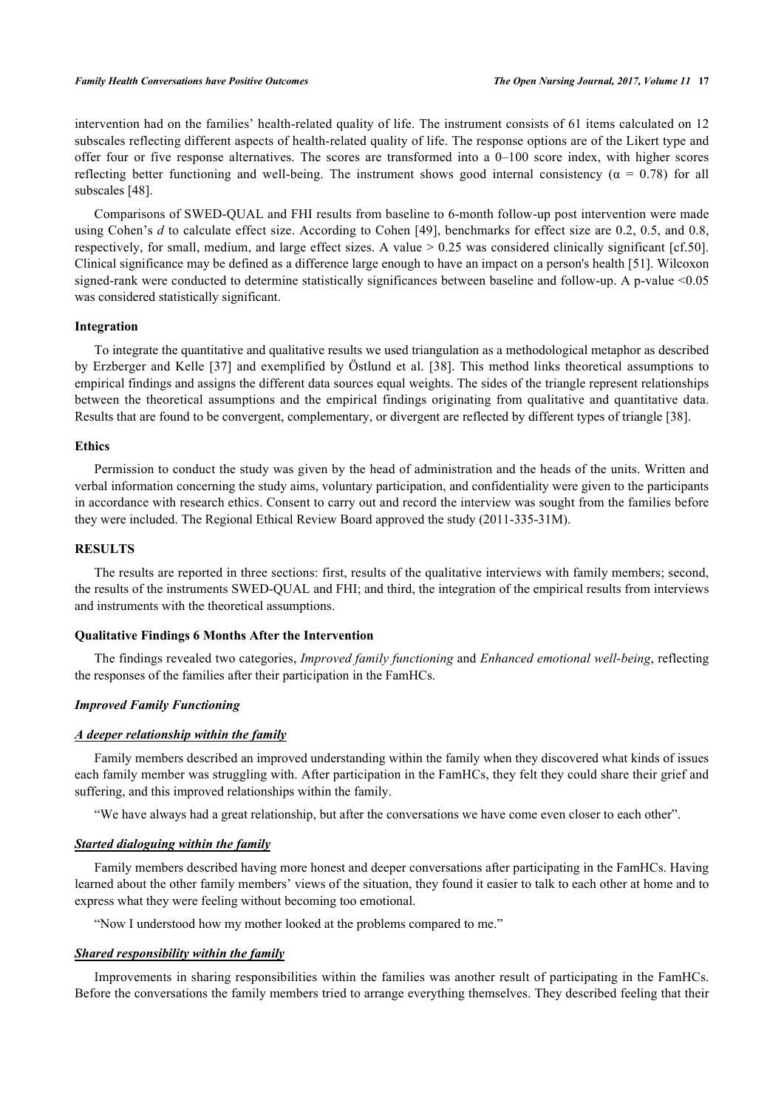intervention had on the families' health-related quality of life. The instrument consists of 61 items calculated on 12 subscales reflecting different aspects of health-related quality of life. The response options are of the Likert type and offer four or five response alternatives. The scores are transformed into a 0–100 score index, with higher scores reflecting better functioning and well-being. The instrument shows good internal consistency ( $\alpha = 0.78$ ) for all subscales [\[48](#page-10-16)].

Comparisons of SWED-QUAL and FHI results from baseline to 6-month follow-up post intervention were made using Cohen's *d* to calculate effect size. According to Cohen [[49\]](#page-10-17), benchmarks for effect size are 0.2, 0.5, and 0.8, respectively, for small, medium, and large effect sizes. A value  $> 0.25$  was considered clinically significant [cf.50]. Clinical significance may be defined as a difference large enough to have an impact on a person's health [[51\]](#page-10-18). Wilcoxon signed-rank were conducted to determine statistically significances between baseline and follow-up. A p-value <0.05 was considered statistically significant.

### **Integration**

To integrate the quantitative and qualitative results we used triangulation as a methodological metaphor as described by Erzberger and Kelle [[37\]](#page-10-5) and exemplified by Östlund et al. [\[38\]](#page-10-6). This method links theoretical assumptions to empirical findings and assigns the different data sources equal weights. The sides of the triangle represent relationships between the theoretical assumptions and the empirical findings originating from qualitative and quantitative data. Results that are found to be convergent, complementary, or divergent are reflected by different types of triangle [\[38](#page-10-6)].

# **Ethics**

Permission to conduct the study was given by the head of administration and the heads of the units. Written and verbal information concerning the study aims, voluntary participation, and confidentiality were given to the participants in accordance with research ethics. Consent to carry out and record the interview was sought from the families before they were included. The Regional Ethical Review Board approved the study (2011-335-31M).

# **RESULTS**

The results are reported in three sections: first, results of the qualitative interviews with family members; second, the results of the instruments SWED-QUAL and FHI; and third, the integration of the empirical results from interviews and instruments with the theoretical assumptions.

# **Qualitative Findings 6 Months After the Intervention**

The findings revealed two categories, *Improved family functioning* and *Enhanced emotional well-being*, reflecting the responses of the families after their participation in the FamHCs.

### *Improved Family Functioning*

### *A deeper relationship within the family*

Family members described an improved understanding within the family when they discovered what kinds of issues each family member was struggling with. After participation in the FamHCs, they felt they could share their grief and suffering, and this improved relationships within the family.

"We have always had a great relationship, but after the conversations we have come even closer to each other".

# *Started dialoguing within the family*

Family members described having more honest and deeper conversations after participating in the FamHCs. Having learned about the other family members' views of the situation, they found it easier to talk to each other at home and to express what they were feeling without becoming too emotional.

"Now I understood how my mother looked at the problems compared to me."

### *Shared responsibility within the family*

Improvements in sharing responsibilities within the families was another result of participating in the FamHCs. Before the conversations the family members tried to arrange everything themselves. They described feeling that their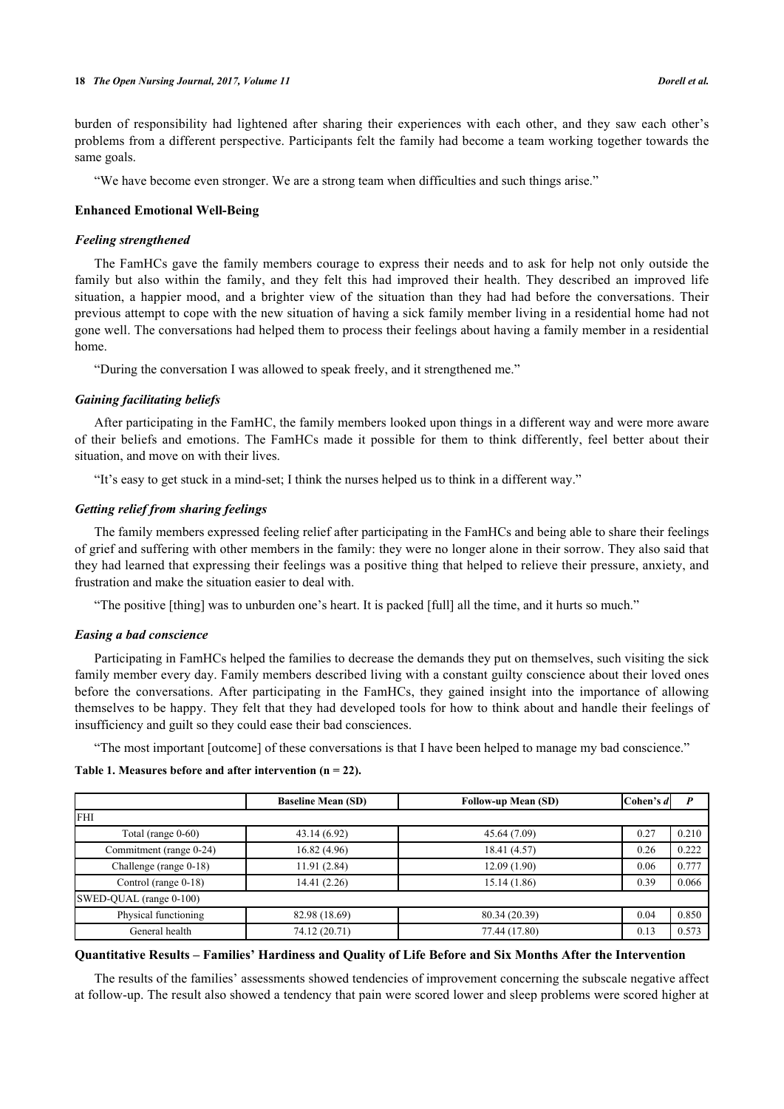burden of responsibility had lightened after sharing their experiences with each other, and they saw each other's problems from a different perspective. Participants felt the family had become a team working together towards the same goals.

"We have become even stronger. We are a strong team when difficulties and such things arise."

# **Enhanced Emotional Well-Being**

# *Feeling strengthened*

The FamHCs gave the family members courage to express their needs and to ask for help not only outside the family but also within the family, and they felt this had improved their health. They described an improved life situation, a happier mood, and a brighter view of the situation than they had had before the conversations. Their previous attempt to cope with the new situation of having a sick family member living in a residential home had not gone well. The conversations had helped them to process their feelings about having a family member in a residential home.

"During the conversation I was allowed to speak freely, and it strengthened me."

# *Gaining facilitating beliefs*

After participating in the FamHC, the family members looked upon things in a different way and were more aware of their beliefs and emotions. The FamHCs made it possible for them to think differently, feel better about their situation, and move on with their lives.

"It's easy to get stuck in a mind-set; I think the nurses helped us to think in a different way."

# *Getting relief from sharing feelings*

The family members expressed feeling relief after participating in the FamHCs and being able to share their feelings of grief and suffering with other members in the family: they were no longer alone in their sorrow. They also said that they had learned that expressing their feelings was a positive thing that helped to relieve their pressure, anxiety, and frustration and make the situation easier to deal with.

"The positive [thing] was to unburden one's heart. It is packed [full] all the time, and it hurts so much."

# *Easing a bad conscience*

Participating in FamHCs helped the families to decrease the demands they put on themselves, such visiting the sick family member every day. Family members described living with a constant guilty conscience about their loved ones before the conversations. After participating in the FamHCs, they gained insight into the importance of allowing themselves to be happy. They felt that they had developed tools for how to think about and handle their feelings of insufficiency and guilt so they could ease their bad consciences.

"The most important [outcome] of these conversations is that I have been helped to manage my bad conscience."

# <span id="page-4-0"></span>**Table 1. Measures before and after intervention (n = 22).**

|                         | <b>Baseline Mean (SD)</b> | <b>Follow-up Mean (SD)</b> | Cohen's d | D     |
|-------------------------|---------------------------|----------------------------|-----------|-------|
| <b>FHI</b>              |                           |                            |           |       |
| Total (range 0-60)      | 43.14 (6.92)              | 45.64 (7.09)               | 0.27      | 0.210 |
| Commitment (range 0-24) | 16.82(4.96)               | 18.41 (4.57)               | 0.26      | 0.222 |
| Challenge (range 0-18)  | 11.91(2.84)               | 12.09(1.90)                | 0.06      | 0.777 |
| Control (range 0-18)    | 14.41 (2.26)              | 15.14(1.86)                | 0.39      | 0.066 |
| SWED-QUAL (range 0-100) |                           |                            |           |       |
| Physical functioning    | 82.98 (18.69)             | 80.34 (20.39)              | 0.04      | 0.850 |
| General health          | 74.12 (20.71)             | 77.44 (17.80)              | 0.13      | 0.573 |

# **Quantitative Results – Families' Hardiness and Quality of Life Before and Six Months After the Intervention**

The results of the families' assessments showed tendencies of improvement concerning the subscale negative affect at follow-up. The result also showed a tendency that pain were scored lower and sleep problems were scored higher at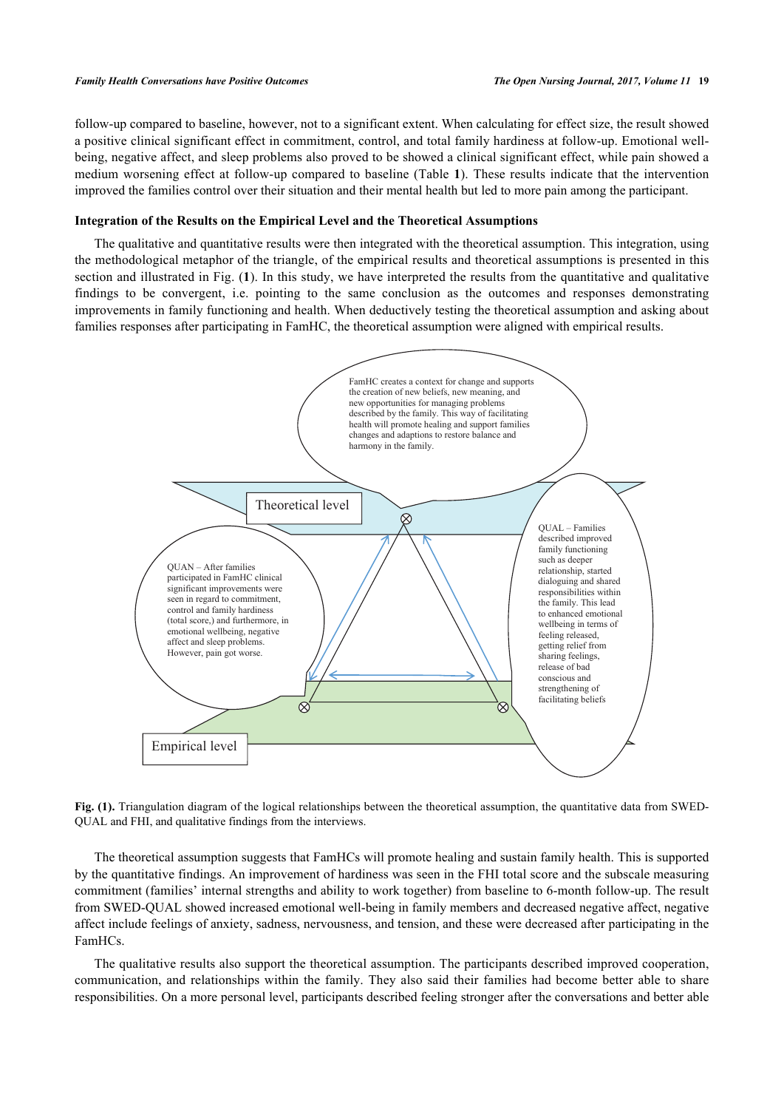#### *Family Health Conversations have Positive Outcomes The Open Nursing Journal, 2017, Volume 11* **19**

follow-up compared to baseline, however, not to a significant extent. When calculating for effect size, the result showed a positive clinical significant effect in commitment, control, and total family hardiness at follow-up. Emotional wellbeing, negative affect, and sleep problems also proved to be showed a clinical significant effect, while pain showed a medium worsening effect at follow-up compared to baseline (Table **[1](#page-4-0)**). These results indicate that the intervention improved the families control over their situation and their mental health but led to more pain among the participant.

# **Integration of the Results on the Empirical Level and the Theoretical Assumptions**

The qualitative and quantitative results were then integrated with the theoretical assumption. This integration, using the methodological metaphor of the triangle, of the empirical results and theoretical assumptions is presented in this section and illustrated in Fig. (**[1](#page-5-0)**). In this study, we have interpreted the results from the quantitative and qualitative findings to be convergent, i.e. pointing to the same conclusion as the outcomes and responses demonstrating improvements in family functioning and health. When deductively testing the theoretical assumption and asking about families responses after participating in FamHC, the theoretical assumption were aligned with empirical results.

<span id="page-5-0"></span>

**Fig. (1).** Triangulation diagram of the logical relationships between the theoretical assumption, the quantitative data from SWED-QUAL and FHI, and qualitative findings from the interviews.

The theoretical assumption suggests that FamHCs will promote healing and sustain family health. This is supported by the quantitative findings. An improvement of hardiness was seen in the FHI total score and the subscale measuring commitment (families' internal strengths and ability to work together) from baseline to 6-month follow-up. The result from SWED-QUAL showed increased emotional well-being in family members and decreased negative affect, negative affect include feelings of anxiety, sadness, nervousness, and tension, and these were decreased after participating in the FamHCs.

The qualitative results also support the theoretical assumption. The participants described improved cooperation, communication, and relationships within the family. They also said their families had become better able to share responsibilities. On a more personal level, participants described feeling stronger after the conversations and better able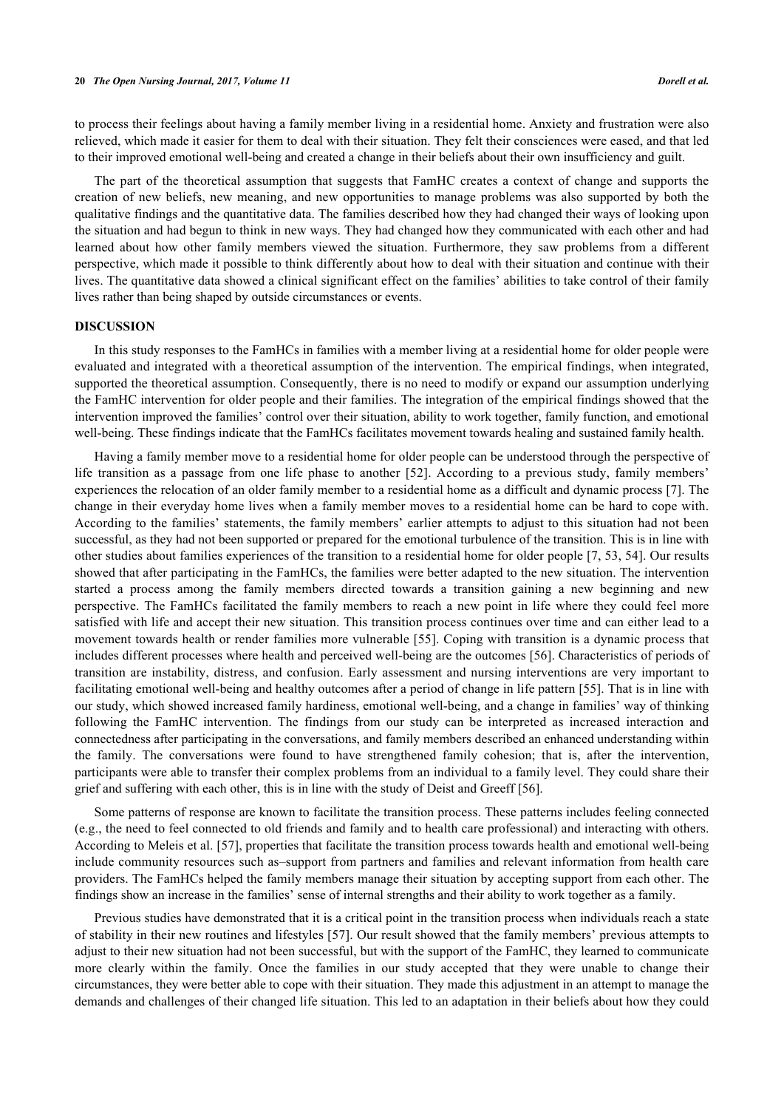to process their feelings about having a family member living in a residential home. Anxiety and frustration were also relieved, which made it easier for them to deal with their situation. They felt their consciences were eased, and that led to their improved emotional well-being and created a change in their beliefs about their own insufficiency and guilt.

The part of the theoretical assumption that suggests that FamHC creates a context of change and supports the creation of new beliefs, new meaning, and new opportunities to manage problems was also supported by both the qualitative findings and the quantitative data. The families described how they had changed their ways of looking upon the situation and had begun to think in new ways. They had changed how they communicated with each other and had learned about how other family members viewed the situation. Furthermore, they saw problems from a different perspective, which made it possible to think differently about how to deal with their situation and continue with their lives. The quantitative data showed a clinical significant effect on the families' abilities to take control of their family lives rather than being shaped by outside circumstances or events.

# **DISCUSSION**

In this study responses to the FamHCs in families with a member living at a residential home for older people were evaluated and integrated with a theoretical assumption of the intervention. The empirical findings, when integrated, supported the theoretical assumption. Consequently, there is no need to modify or expand our assumption underlying the FamHC intervention for older people and their families. The integration of the empirical findings showed that the intervention improved the families' control over their situation, ability to work together, family function, and emotional well-being. These findings indicate that the FamHCs facilitates movement towards healing and sustained family health.

Having a family member move to a residential home for older people can be understood through the perspective of life transition as a passage from one life phase to another [\[52\]](#page-10-19). According to a previous study, family members' experiences the relocation of an older family member to a residential home as a difficult and dynamic process [\[7](#page-8-5)]. The change in their everyday home lives when a family member moves to a residential home can be hard to cope with. According to the families' statements, the family members' earlier attempts to adjust to this situation had not been successful, as they had not been supported or prepared for the emotional turbulence of the transition. This is in line with other studies about families experiences of the transition to a residential home for older people [\[7](#page-8-5), [53,](#page-10-20) [54\]](#page-10-21). Our results showed that after participating in the FamHCs, the families were better adapted to the new situation. The intervention started a process among the family members directed towards a transition gaining a new beginning and new perspective. The FamHCs facilitated the family members to reach a new point in life where they could feel more satisfied with life and accept their new situation. This transition process continues over time and can either lead to a movement towards health or render families more vulnerable [[55\]](#page-10-22). Coping with transition is a dynamic process that includes different processes where health and perceived well-being are the outcomes [[56\]](#page-11-0). Characteristics of periods of transition are instability, distress, and confusion. Early assessment and nursing interventions are very important to facilitating emotional well-being and healthy outcomes after a period of change in life pattern [[55](#page-10-22)]. That is in line with our study, which showed increased family hardiness, emotional well-being, and a change in families' way of thinking following the FamHC intervention. The findings from our study can be interpreted as increased interaction and connectedness after participating in the conversations, and family members described an enhanced understanding within the family. The conversations were found to have strengthened family cohesion; that is, after the intervention, participants were able to transfer their complex problems from an individual to a family level. They could share their grief and suffering with each other, this is in line with the study of Deist and Greeff [[56\]](#page-11-0).

Some patterns of response are known to facilitate the transition process. These patterns includes feeling connected (e.g., the need to feel connected to old friends and family and to health care professional) and interacting with others. According to Meleis et al. [[57](#page-11-1)], properties that facilitate the transition process towards health and emotional well-being include community resources such as–support from partners and families and relevant information from health care providers. The FamHCs helped the family members manage their situation by accepting support from each other. The findings show an increase in the families' sense of internal strengths and their ability to work together as a family.

Previous studies have demonstrated that it is a critical point in the transition process when individuals reach a state of stability in their new routines and lifestyles [\[57](#page-11-1)]. Our result showed that the family members' previous attempts to adjust to their new situation had not been successful, but with the support of the FamHC, they learned to communicate more clearly within the family. Once the families in our study accepted that they were unable to change their circumstances, they were better able to cope with their situation. They made this adjustment in an attempt to manage the demands and challenges of their changed life situation. This led to an adaptation in their beliefs about how they could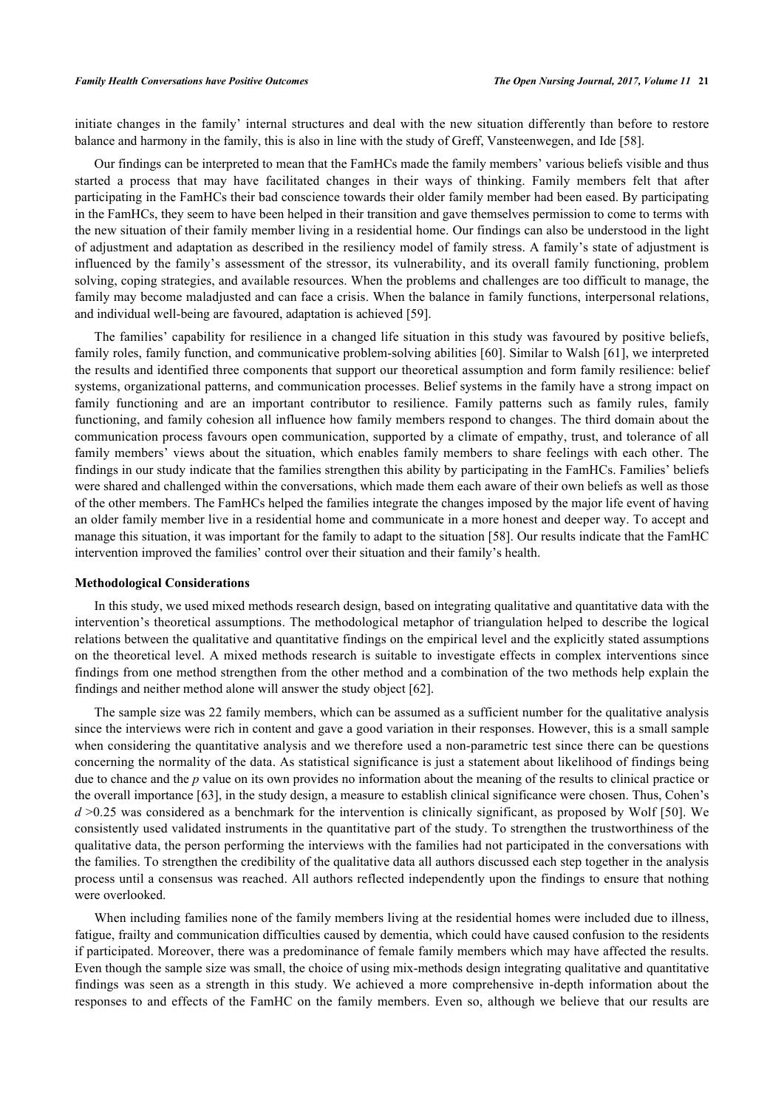initiate changes in the family' internal structures and deal with the new situation differently than before to restore balance and harmony in the family, this is also in line with the study of Greff, Vansteenwegen, and Ide [[58\]](#page-11-2).

Our findings can be interpreted to mean that the FamHCs made the family members' various beliefs visible and thus started a process that may have facilitated changes in their ways of thinking. Family members felt that after participating in the FamHCs their bad conscience towards their older family member had been eased. By participating in the FamHCs, they seem to have been helped in their transition and gave themselves permission to come to terms with the new situation of their family member living in a residential home. Our findings can also be understood in the light of adjustment and adaptation as described in the resiliency model of family stress. A family's state of adjustment is influenced by the family's assessment of the stressor, its vulnerability, and its overall family functioning, problem solving, coping strategies, and available resources. When the problems and challenges are too difficult to manage, the family may become maladjusted and can face a crisis. When the balance in family functions, interpersonal relations, and individual well-being are favoured, adaptation is achieved [[59\]](#page-11-3).

The families' capability for resilience in a changed life situation in this study was favoured by positive beliefs, family roles, family function, and communicative problem-solving abilities [\[60](#page-11-4)]. Similar to Walsh [[61\]](#page-11-5), we interpreted the results and identified three components that support our theoretical assumption and form family resilience: belief systems, organizational patterns, and communication processes. Belief systems in the family have a strong impact on family functioning and are an important contributor to resilience. Family patterns such as family rules, family functioning, and family cohesion all influence how family members respond to changes. The third domain about the communication process favours open communication, supported by a climate of empathy, trust, and tolerance of all family members' views about the situation, which enables family members to share feelings with each other. The findings in our study indicate that the families strengthen this ability by participating in the FamHCs. Families' beliefs were shared and challenged within the conversations, which made them each aware of their own beliefs as well as those of the other members. The FamHCs helped the families integrate the changes imposed by the major life event of having an older family member live in a residential home and communicate in a more honest and deeper way. To accept and manage this situation, it was important for the family to adapt to the situation [\[58](#page-11-2)]. Our results indicate that the FamHC intervention improved the families' control over their situation and their family's health.

### **Methodological Considerations**

In this study, we used mixed methods research design, based on integrating qualitative and quantitative data with the intervention's theoretical assumptions. The methodological metaphor of triangulation helped to describe the logical relations between the qualitative and quantitative findings on the empirical level and the explicitly stated assumptions on the theoretical level. A mixed methods research is suitable to investigate effects in complex interventions since findings from one method strengthen from the other method and a combination of the two methods help explain the findings and neither method alone will answer the study object [[62\]](#page-11-6).

The sample size was 22 family members, which can be assumed as a sufficient number for the qualitative analysis since the interviews were rich in content and gave a good variation in their responses. However, this is a small sample when considering the quantitative analysis and we therefore used a non-parametric test since there can be questions concerning the normality of the data. As statistical significance is just a statement about likelihood of findings being due to chance and the *p* value on its own provides no information about the meaning of the results to clinical practice or the overall importance [[63\]](#page-11-7), in the study design, a measure to establish clinical significance were chosen. Thus, Cohen's *d* >0.25 was considered as a benchmark for the intervention is clinically significant, as proposed by Wolf [[50](#page-10-23)]. We consistently used validated instruments in the quantitative part of the study. To strengthen the trustworthiness of the qualitative data, the person performing the interviews with the families had not participated in the conversations with the families. To strengthen the credibility of the qualitative data all authors discussed each step together in the analysis process until a consensus was reached. All authors reflected independently upon the findings to ensure that nothing were overlooked.

When including families none of the family members living at the residential homes were included due to illness, fatigue, frailty and communication difficulties caused by dementia, which could have caused confusion to the residents if participated. Moreover, there was a predominance of female family members which may have affected the results. Even though the sample size was small, the choice of using mix-methods design integrating qualitative and quantitative findings was seen as a strength in this study. We achieved a more comprehensive in-depth information about the responses to and effects of the FamHC on the family members. Even so, although we believe that our results are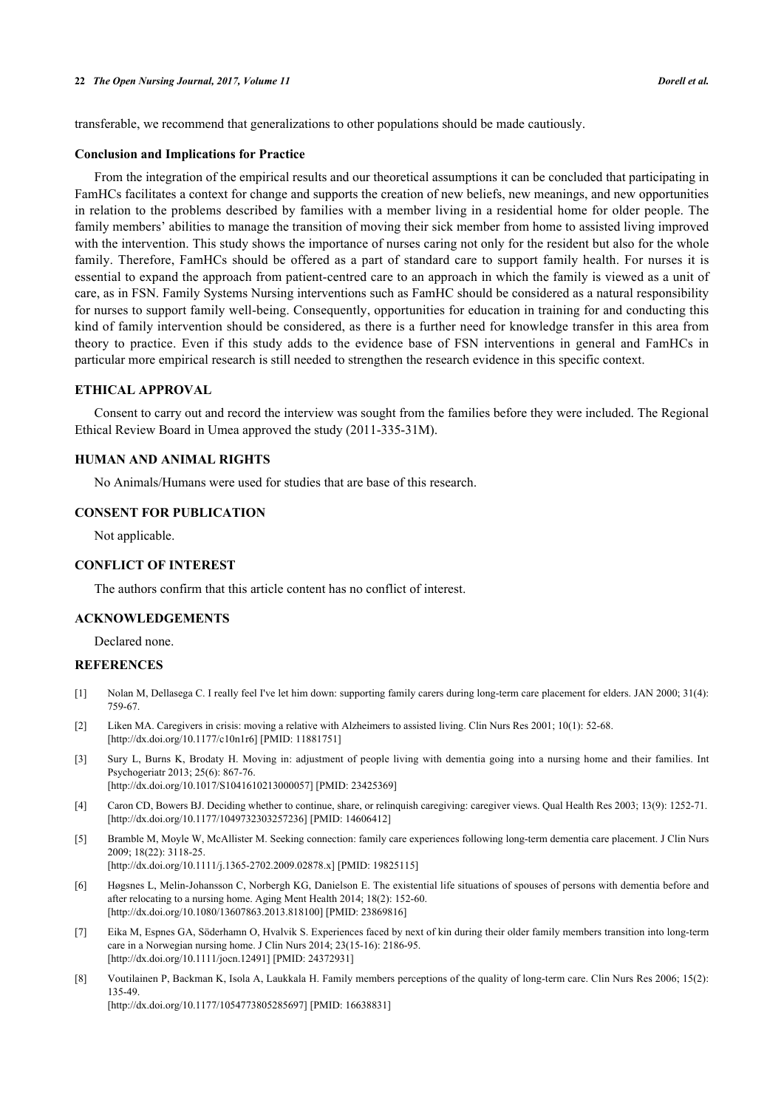transferable, we recommend that generalizations to other populations should be made cautiously.

#### **Conclusion and Implications for Practice**

From the integration of the empirical results and our theoretical assumptions it can be concluded that participating in FamHCs facilitates a context for change and supports the creation of new beliefs, new meanings, and new opportunities in relation to the problems described by families with a member living in a residential home for older people. The family members' abilities to manage the transition of moving their sick member from home to assisted living improved with the intervention. This study shows the importance of nurses caring not only for the resident but also for the whole family. Therefore, FamHCs should be offered as a part of standard care to support family health. For nurses it is essential to expand the approach from patient-centred care to an approach in which the family is viewed as a unit of care, as in FSN. Family Systems Nursing interventions such as FamHC should be considered as a natural responsibility for nurses to support family well-being. Consequently, opportunities for education in training for and conducting this kind of family intervention should be considered, as there is a further need for knowledge transfer in this area from theory to practice. Even if this study adds to the evidence base of FSN interventions in general and FamHCs in particular more empirical research is still needed to strengthen the research evidence in this specific context.

# **ETHICAL APPROVAL**

Consent to carry out and record the interview was sought from the families before they were included. The Regional Ethical Review Board in Umea approved the study (2011-335-31M).

# **HUMAN AND ANIMAL RIGHTS**

No Animals/Humans were used for studies that are base of this research.

# **CONSENT FOR PUBLICATION**

Not applicable.

### **CONFLICT OF INTEREST**

The authors confirm that this article content has no conflict of interest.

# **ACKNOWLEDGEMENTS**

Declared none.

### **REFERENCES**

- <span id="page-8-0"></span>[1] Nolan M, Dellasega C. I really feel I've let him down: supporting family carers during long-term care placement for elders. JAN 2000; 31(4): 759-67.
- [2] Liken MA. Caregivers in crisis: moving a relative with Alzheimers to assisted living. Clin Nurs Res 2001; 10(1): 52-68. [\[http://dx.doi.org/10.1177/c10n1r6](http://dx.doi.org/10.1177/c10n1r6)] [PMID: [11881751\]](http://www.ncbi.nlm.nih.gov/pubmed/11881751)
- <span id="page-8-1"></span>[3] Sury L, Burns K, Brodaty H. Moving in: adjustment of people living with dementia going into a nursing home and their families. Int Psychogeriatr 2013; 25(6): 867-76. [\[http://dx.doi.org/10.1017/S1041610213000057](http://dx.doi.org/10.1017/S1041610213000057)] [PMID: [23425369\]](http://www.ncbi.nlm.nih.gov/pubmed/23425369)
- <span id="page-8-2"></span>[4] Caron CD, Bowers BJ. Deciding whether to continue, share, or relinquish caregiving: caregiver views. Qual Health Res 2003; 13(9): 1252-71. [\[http://dx.doi.org/10.1177/1049732303257236\]](http://dx.doi.org/10.1177/1049732303257236) [PMID: [14606412](http://www.ncbi.nlm.nih.gov/pubmed/14606412)]
- <span id="page-8-3"></span>[5] Bramble M, Moyle W, McAllister M. Seeking connection: family care experiences following long-term dementia care placement. J Clin Nurs 2009; 18(22): 3118-25. [\[http://dx.doi.org/10.1111/j.1365-2702.2009.02878.x\]](http://dx.doi.org/10.1111/j.1365-2702.2009.02878.x) [PMID: [19825115](http://www.ncbi.nlm.nih.gov/pubmed/19825115)]
- <span id="page-8-4"></span>[6] Høgsnes L, Melin-Johansson C, Norbergh KG, Danielson E. The existential life situations of spouses of persons with dementia before and after relocating to a nursing home. Aging Ment Health 2014; 18(2): 152-60. [\[http://dx.doi.org/10.1080/13607863.2013.818100\]](http://dx.doi.org/10.1080/13607863.2013.818100) [PMID: [23869816](http://www.ncbi.nlm.nih.gov/pubmed/23869816)]
- <span id="page-8-5"></span>[7] Eika M, Espnes GA, Söderhamn O, Hvalvik S. Experiences faced by next of kin during their older family members transition into long-term care in a Norwegian nursing home. J Clin Nurs 2014; 23(15-16): 2186-95. [\[http://dx.doi.org/10.1111/jocn.12491\]](http://dx.doi.org/10.1111/jocn.12491) [PMID: [24372931](http://www.ncbi.nlm.nih.gov/pubmed/24372931)]
- <span id="page-8-6"></span>[8] Voutilainen P, Backman K, Isola A, Laukkala H. Family members perceptions of the quality of long-term care. Clin Nurs Res 2006; 15(2): 135-49. [\[http://dx.doi.org/10.1177/1054773805285697\]](http://dx.doi.org/10.1177/1054773805285697) [PMID: [16638831](http://www.ncbi.nlm.nih.gov/pubmed/16638831)]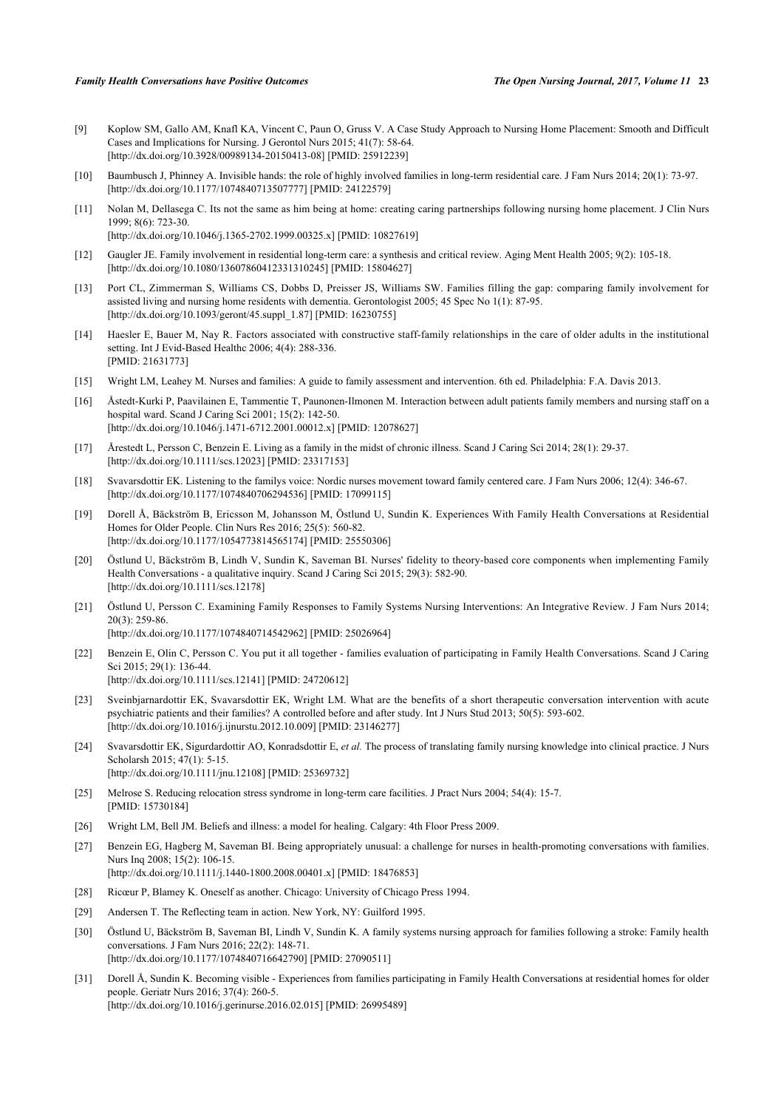- <span id="page-9-0"></span>[9] Koplow SM, Gallo AM, Knafl KA, Vincent C, Paun O, Gruss V. A Case Study Approach to Nursing Home Placement: Smooth and Difficult Cases and Implications for Nursing. J Gerontol Nurs 2015; 41(7): 58-64. [\[http://dx.doi.org/10.3928/00989134-20150413-08](http://dx.doi.org/10.3928/00989134-20150413-08)] [PMID: [25912239\]](http://www.ncbi.nlm.nih.gov/pubmed/25912239)
- <span id="page-9-1"></span>[10] Baumbusch J, Phinney A. Invisible hands: the role of highly involved families in long-term residential care. J Fam Nurs 2014; 20(1): 73-97. [\[http://dx.doi.org/10.1177/1074840713507777\]](http://dx.doi.org/10.1177/1074840713507777) [PMID: [24122579](http://www.ncbi.nlm.nih.gov/pubmed/24122579)]
- <span id="page-9-2"></span>[11] Nolan M, Dellasega C. Its not the same as him being at home: creating caring partnerships following nursing home placement. J Clin Nurs 1999; 8(6): 723-30. [\[http://dx.doi.org/10.1046/j.1365-2702.1999.00325.x\]](http://dx.doi.org/10.1046/j.1365-2702.1999.00325.x) [PMID: [10827619](http://www.ncbi.nlm.nih.gov/pubmed/10827619)]
- [12] Gaugler JE. Family involvement in residential long-term care: a synthesis and critical review. Aging Ment Health 2005; 9(2): 105-18. [\[http://dx.doi.org/10.1080/13607860412331310245\]](http://dx.doi.org/10.1080/13607860412331310245) [PMID: [15804627](http://www.ncbi.nlm.nih.gov/pubmed/15804627)]
- [13] Port CL, Zimmerman S, Williams CS, Dobbs D, Preisser JS, Williams SW. Families filling the gap: comparing family involvement for assisted living and nursing home residents with dementia. Gerontologist 2005; 45 Spec No 1(1): 87-95. [\[http://dx.doi.org/10.1093/geront/45.suppl\\_1.87\]](http://dx.doi.org/10.1093/geront/45.suppl_1.87) [PMID: [16230755](http://www.ncbi.nlm.nih.gov/pubmed/16230755)]
- <span id="page-9-3"></span>[14] Haesler E, Bauer M, Nay R. Factors associated with constructive staff-family relationships in the care of older adults in the institutional setting. Int J Evid-Based Healthc 2006; 4(4): 288-336. [PMID: [21631773\]](http://www.ncbi.nlm.nih.gov/pubmed/21631773)
- <span id="page-9-4"></span>[15] Wright LM, Leahey M. Nurses and families: A guide to family assessment and intervention. 6th ed. Philadelphia: F.A. Davis 2013.
- <span id="page-9-5"></span>[16] Åstedt-Kurki P, Paavilainen E, Tammentie T, Paunonen-Ilmonen M. Interaction between adult patients family members and nursing staff on a hospital ward. Scand J Caring Sci 2001; 15(2): 142-50. [\[http://dx.doi.org/10.1046/j.1471-6712.2001.00012.x\]](http://dx.doi.org/10.1046/j.1471-6712.2001.00012.x) [PMID: [12078627](http://www.ncbi.nlm.nih.gov/pubmed/12078627)]
- <span id="page-9-6"></span>[17] Årestedt L, Persson C, Benzein E. Living as a family in the midst of chronic illness. Scand J Caring Sci 2014; 28(1): 29-37. [\[http://dx.doi.org/10.1111/scs.12023\]](http://dx.doi.org/10.1111/scs.12023) [PMID: [23317153](http://www.ncbi.nlm.nih.gov/pubmed/23317153)]
- <span id="page-9-7"></span>[18] Svavarsdottir EK. Listening to the familys voice: Nordic nurses movement toward family centered care. J Fam Nurs 2006; 12(4): 346-67. [\[http://dx.doi.org/10.1177/1074840706294536\]](http://dx.doi.org/10.1177/1074840706294536) [PMID: [17099115](http://www.ncbi.nlm.nih.gov/pubmed/17099115)]
- <span id="page-9-15"></span>[19] Dorell Å, Bäckström B, Ericsson M, Johansson M, Östlund U, Sundin K. Experiences With Family Health Conversations at Residential Homes for Older People. Clin Nurs Res 2016; 25(5): 560-82. [\[http://dx.doi.org/10.1177/1054773814565174\]](http://dx.doi.org/10.1177/1054773814565174) [PMID: [25550306](http://www.ncbi.nlm.nih.gov/pubmed/25550306)]
- <span id="page-9-11"></span>[20] Östlund U, Bäckström B, Lindh V, Sundin K, Saveman BI. Nurses' fidelity to theory-based core components when implementing Family Health Conversations - a qualitative inquiry. Scand J Caring Sci 2015; 29(3): 582-90. [\[http://dx.doi.org/10.1111/scs.12178\]](http://dx.doi.org/10.1111/scs.12178)
- [21] Östlund U, Persson C. Examining Family Responses to Family Systems Nursing Interventions: An Integrative Review. J Fam Nurs 2014; 20(3): 259-86. [\[http://dx.doi.org/10.1177/1074840714542962\]](http://dx.doi.org/10.1177/1074840714542962) [PMID: [25026964](http://www.ncbi.nlm.nih.gov/pubmed/25026964)]
- <span id="page-9-16"></span>[22] Benzein E, Olin C, Persson C. You put it all together - families evaluation of participating in Family Health Conversations. Scand J Caring Sci 2015; 29(1): 136-44. [\[http://dx.doi.org/10.1111/scs.12141\]](http://dx.doi.org/10.1111/scs.12141) [PMID: [24720612](http://www.ncbi.nlm.nih.gov/pubmed/24720612)]
- [23] Sveinbjarnardottir EK, Svavarsdottir EK, Wright LM. What are the benefits of a short therapeutic conversation intervention with acute psychiatric patients and their families? A controlled before and after study. Int J Nurs Stud 2013; 50(5): 593-602. [\[http://dx.doi.org/10.1016/j.ijnurstu.2012.10.009](http://dx.doi.org/10.1016/j.ijnurstu.2012.10.009)] [PMID: [23146277](http://www.ncbi.nlm.nih.gov/pubmed/23146277)]
- <span id="page-9-8"></span>[24] Svavarsdottir EK, Sigurdardottir AO, Konradsdottir E, *et al.* The process of translating family nursing knowledge into clinical practice. J Nurs Scholarsh 2015; 47(1): 5-15. [\[http://dx.doi.org/10.1111/jnu.12108](http://dx.doi.org/10.1111/jnu.12108)] [PMID: [25369732\]](http://www.ncbi.nlm.nih.gov/pubmed/25369732)
- <span id="page-9-9"></span>[25] Melrose S. Reducing relocation stress syndrome in long-term care facilities. J Pract Nurs 2004; 54(4): 15-7. [PMID: [15730184\]](http://www.ncbi.nlm.nih.gov/pubmed/15730184)
- <span id="page-9-10"></span>[26] Wright LM, Bell JM. Beliefs and illness: a model for healing. Calgary: 4th Floor Press 2009.
- <span id="page-9-12"></span>[27] Benzein EG, Hagberg M, Saveman BI. Being appropriately unusual: a challenge for nurses in health-promoting conversations with families. Nurs Inq 2008; 15(2): 106-15. [\[http://dx.doi.org/10.1111/j.1440-1800.2008.00401.x\]](http://dx.doi.org/10.1111/j.1440-1800.2008.00401.x) [PMID: [18476853](http://www.ncbi.nlm.nih.gov/pubmed/18476853)]
- <span id="page-9-13"></span>[28] Ricœur P, Blamey K. Oneself as another. Chicago: University of Chicago Press 1994.
- <span id="page-9-14"></span>[29] Andersen T. The Reflecting team in action. New York, NY: Guilford 1995.
- <span id="page-9-17"></span>[30] Östlund U, Bäckström B, Saveman BI, Lindh V, Sundin K. A family systems nursing approach for families following a stroke: Family health conversations. J Fam Nurs 2016; 22(2): 148-71. [\[http://dx.doi.org/10.1177/1074840716642790\]](http://dx.doi.org/10.1177/1074840716642790) [PMID: [27090511](http://www.ncbi.nlm.nih.gov/pubmed/27090511)]
- [31] Dorell Å, Sundin K. Becoming visible Experiences from families participating in Family Health Conversations at residential homes for older people. Geriatr Nurs 2016; 37(4): 260-5. [\[http://dx.doi.org/10.1016/j.gerinurse.2016.02.015\]](http://dx.doi.org/10.1016/j.gerinurse.2016.02.015) [PMID: [26995489](http://www.ncbi.nlm.nih.gov/pubmed/26995489)]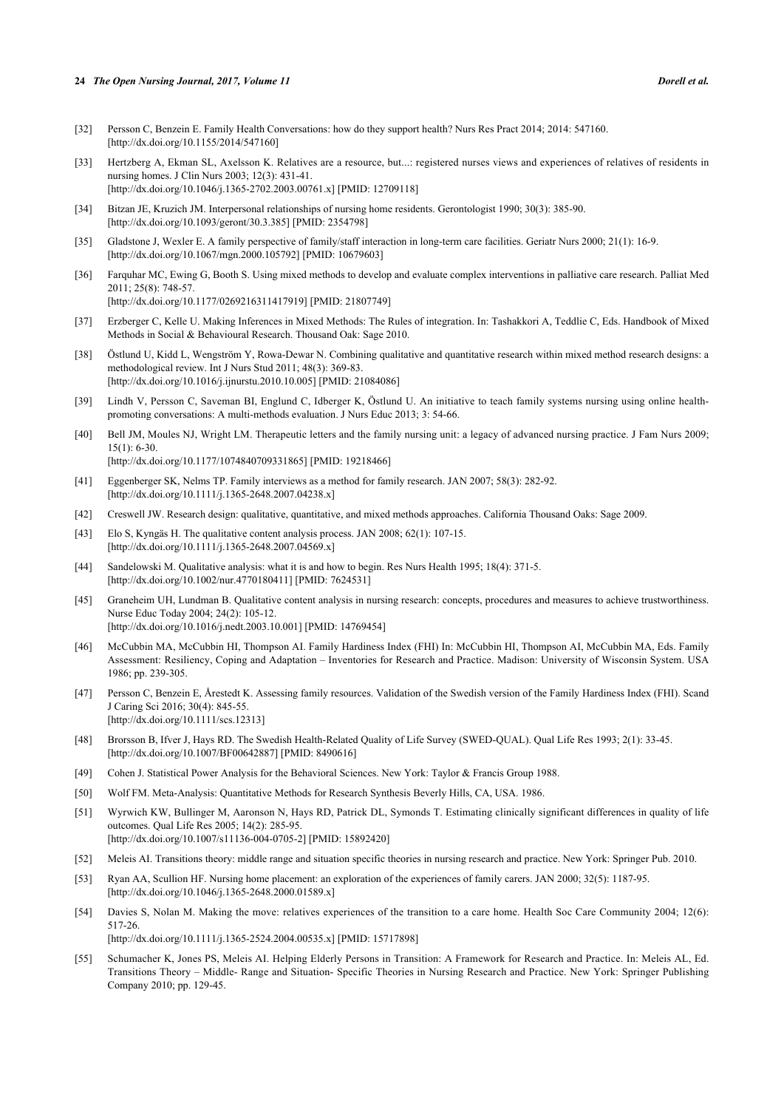#### **24** *The Open Nursing Journal, 2017, Volume 11 Dorell et al.*

- <span id="page-10-0"></span>[32] Persson C, Benzein E. Family Health Conversations: how do they support health? Nurs Res Pract 2014; 2014: 547160. [\[http://dx.doi.org/10.1155/2014/547160](http://dx.doi.org/10.1155/2014/547160)]
- <span id="page-10-1"></span>[33] Hertzberg A, Ekman SL, Axelsson K. Relatives are a resource, but...: registered nurses views and experiences of relatives of residents in nursing homes. J Clin Nurs 2003; 12(3): 431-41. [\[http://dx.doi.org/10.1046/j.1365-2702.2003.00761.x\]](http://dx.doi.org/10.1046/j.1365-2702.2003.00761.x) [PMID: [12709118](http://www.ncbi.nlm.nih.gov/pubmed/12709118)]
- <span id="page-10-2"></span>[34] Bitzan JE, Kruzich JM. Interpersonal relationships of nursing home residents. Gerontologist 1990; 30(3): 385-90. [\[http://dx.doi.org/10.1093/geront/30.3.385](http://dx.doi.org/10.1093/geront/30.3.385)] [PMID: [2354798](http://www.ncbi.nlm.nih.gov/pubmed/2354798)]
- <span id="page-10-3"></span>[35] Gladstone J, Wexler E. A family perspective of family/staff interaction in long-term care facilities. Geriatr Nurs 2000; 21(1): 16-9. [\[http://dx.doi.org/10.1067/mgn.2000.105792](http://dx.doi.org/10.1067/mgn.2000.105792)] [PMID: [10679603\]](http://www.ncbi.nlm.nih.gov/pubmed/10679603)
- <span id="page-10-4"></span>[36] Farquhar MC, Ewing G, Booth S. Using mixed methods to develop and evaluate complex interventions in palliative care research. Palliat Med 2011; 25(8): 748-57. [\[http://dx.doi.org/10.1177/0269216311417919\]](http://dx.doi.org/10.1177/0269216311417919) [PMID: [21807749](http://www.ncbi.nlm.nih.gov/pubmed/21807749)]
- <span id="page-10-5"></span>[37] Erzberger C, Kelle U. Making Inferences in Mixed Methods: The Rules of integration. In: Tashakkori A, Teddlie C, Eds. Handbook of Mixed Methods in Social & Behavioural Research. Thousand Oak: Sage 2010.
- <span id="page-10-6"></span>[38] Östlund U, Kidd L, Wengström Y, Rowa-Dewar N. Combining qualitative and quantitative research within mixed method research designs: a methodological review. Int J Nurs Stud 2011; 48(3): 369-83. [\[http://dx.doi.org/10.1016/j.ijnurstu.2010.10.005](http://dx.doi.org/10.1016/j.ijnurstu.2010.10.005)] [PMID: [21084086](http://www.ncbi.nlm.nih.gov/pubmed/21084086)]
- <span id="page-10-7"></span>[39] Lindh V, Persson C, Saveman BI, Englund C, Idberger K, Östlund U. An initiative to teach family systems nursing using online healthpromoting conversations: A multi-methods evaluation. J Nurs Educ 2013; 3: 54-66.
- <span id="page-10-8"></span>[40] Bell JM, Moules NJ, Wright LM. Therapeutic letters and the family nursing unit: a legacy of advanced nursing practice. J Fam Nurs 2009; 15(1): 6-30. [\[http://dx.doi.org/10.1177/1074840709331865\]](http://dx.doi.org/10.1177/1074840709331865) [PMID: [19218466](http://www.ncbi.nlm.nih.gov/pubmed/19218466)]
- <span id="page-10-9"></span>[41] Eggenberger SK, Nelms TP. Family interviews as a method for family research. JAN 2007; 58(3): 282-92. [\[http://dx.doi.org/10.1111/j.1365-2648.2007.04238.x\]](http://dx.doi.org/10.1111/j.1365-2648.2007.04238.x)
- <span id="page-10-10"></span>[42] Creswell JW. Research design: qualitative, quantitative, and mixed methods approaches. California Thousand Oaks: Sage 2009.
- <span id="page-10-11"></span>[43] Elo S, Kyngäs H. The qualitative content analysis process. JAN 2008; 62(1): 107-15. [\[http://dx.doi.org/10.1111/j.1365-2648.2007.04569.x\]](http://dx.doi.org/10.1111/j.1365-2648.2007.04569.x)
- <span id="page-10-12"></span>[44] Sandelowski M. Qualitative analysis: what it is and how to begin. Res Nurs Health 1995; 18(4): 371-5. [\[http://dx.doi.org/10.1002/nur.4770180411](http://dx.doi.org/10.1002/nur.4770180411)] [PMID: [7624531](http://www.ncbi.nlm.nih.gov/pubmed/7624531)]
- <span id="page-10-13"></span>[45] Graneheim UH, Lundman B. Qualitative content analysis in nursing research: concepts, procedures and measures to achieve trustworthiness. Nurse Educ Today 2004; 24(2): 105-12. [\[http://dx.doi.org/10.1016/j.nedt.2003.10.001\]](http://dx.doi.org/10.1016/j.nedt.2003.10.001) [PMID: [14769454](http://www.ncbi.nlm.nih.gov/pubmed/14769454)]
- <span id="page-10-14"></span>[46] McCubbin MA, McCubbin HI, Thompson AI. Family Hardiness Index (FHI) In: McCubbin HI, Thompson AI, McCubbin MA, Eds. Family Assessment: Resiliency, Coping and Adaptation – Inventories for Research and Practice. Madison: University of Wisconsin System. USA 1986; pp. 239-305.
- <span id="page-10-15"></span>[47] Persson C, Benzein E, Årestedt K. Assessing family resources. Validation of the Swedish version of the Family Hardiness Index (FHI). Scand J Caring Sci 2016; 30(4): 845-55. [\[http://dx.doi.org/10.1111/scs.12313\]](http://dx.doi.org/10.1111/scs.12313)
- <span id="page-10-16"></span>[48] Brorsson B, Ifver J, Hays RD. The Swedish Health-Related Quality of Life Survey (SWED-QUAL). Qual Life Res 1993; 2(1): 33-45. [\[http://dx.doi.org/10.1007/BF00642887\]](http://dx.doi.org/10.1007/BF00642887) [PMID: [8490616](http://www.ncbi.nlm.nih.gov/pubmed/8490616)]
- <span id="page-10-17"></span>[49] Cohen J. Statistical Power Analysis for the Behavioral Sciences. New York: Taylor & Francis Group 1988.
- <span id="page-10-23"></span>[50] Wolf FM. Meta-Analysis: Quantitative Methods for Research Synthesis Beverly Hills, CA, USA. 1986.
- <span id="page-10-18"></span>[51] Wyrwich KW, Bullinger M, Aaronson N, Hays RD, Patrick DL, Symonds T. Estimating clinically significant differences in quality of life outcomes. Qual Life Res 2005; 14(2): 285-95. [\[http://dx.doi.org/10.1007/s11136-004-0705-2\]](http://dx.doi.org/10.1007/s11136-004-0705-2) [PMID: [15892420](http://www.ncbi.nlm.nih.gov/pubmed/15892420)]
- <span id="page-10-19"></span>[52] Meleis AI. Transitions theory: middle range and situation specific theories in nursing research and practice. New York: Springer Pub. 2010.
- <span id="page-10-20"></span>[53] Ryan AA, Scullion HF. Nursing home placement: an exploration of the experiences of family carers. JAN 2000; 32(5): 1187-95. [\[http://dx.doi.org/10.1046/j.1365-2648.2000.01589.x\]](http://dx.doi.org/10.1046/j.1365-2648.2000.01589.x)
- <span id="page-10-21"></span>[54] Davies S, Nolan M. Making the move: relatives experiences of the transition to a care home. Health Soc Care Community 2004; 12(6): 517-26. [\[http://dx.doi.org/10.1111/j.1365-2524.2004.00535.x\]](http://dx.doi.org/10.1111/j.1365-2524.2004.00535.x) [PMID: [15717898](http://www.ncbi.nlm.nih.gov/pubmed/15717898)]
- <span id="page-10-22"></span>[55] Schumacher K, Jones PS, Meleis AI. Helping Elderly Persons in Transition: A Framework for Research and Practice. In: Meleis AL, Ed. Transitions Theory – Middle- Range and Situation- Specific Theories in Nursing Research and Practice. New York: Springer Publishing Company 2010; pp. 129-45.